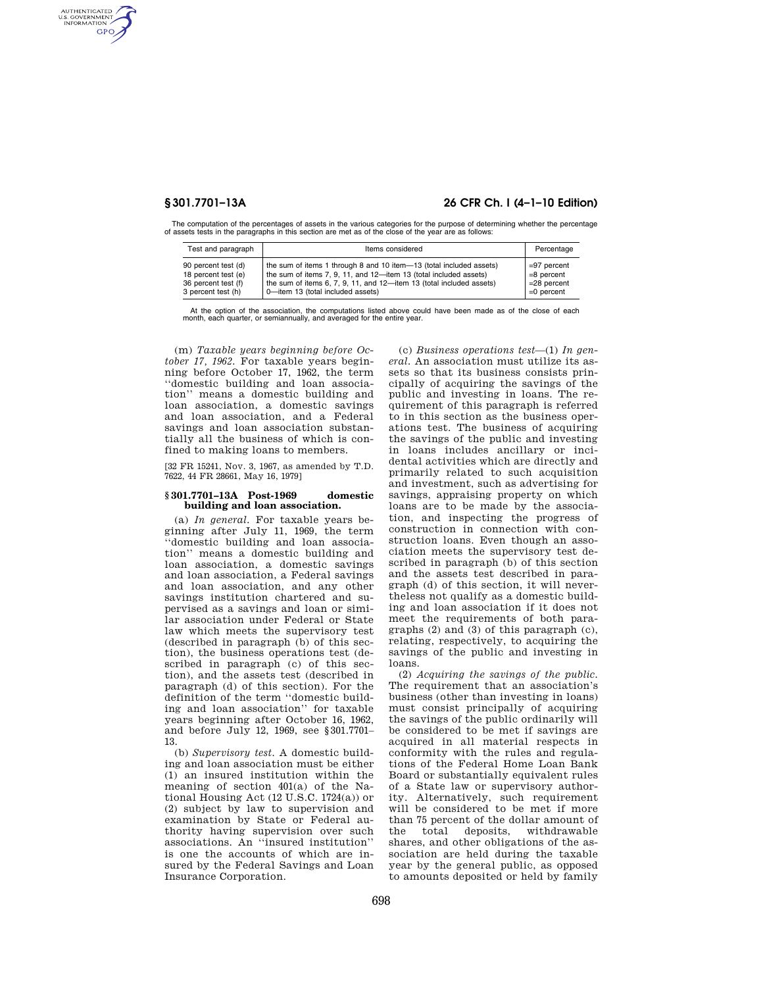AUTHENTICATED<br>U.S. GOVERNMENT<br>INFORMATION **GPO** 

# **§ 301.7701–13A 26 CFR Ch. I (4–1–10 Edition)**

The computation of the percentages of assets in the various categories for the purpose of determining whether the percentage of assets tests in the paragraphs in this section are met as of the close of the year are as follows:

| Test and paragraph  | Items considered                                                     | Percentage    |
|---------------------|----------------------------------------------------------------------|---------------|
| 90 percent test (d) | the sum of items 1 through 8 and 10 item-13 (total included assets)  | $=97$ percent |
| 18 percent test (e) | the sum of items 7, 9, 11, and 12-item 13 (total included assets)    | $=8$ percent  |
| 36 percent test (f) | the sum of items 6, 7, 9, 11, and 12-item 13 (total included assets) | $=28$ percent |
| 3 percent test (h)  | 0-item 13 (total included assets)                                    | $=0$ percent  |

At the option of the association, the computations listed above could have been made as of the close of each month, each quarter, or semiannually, and averaged for the entire year.

(m) *Taxable years beginning before October 17, 1962.* For taxable years beginning before October 17, 1962, the term ''domestic building and loan association'' means a domestic building and loan association, a domestic savings and loan association, and a Federal savings and loan association substantially all the business of which is confined to making loans to members.

[32 FR 15241, Nov. 3, 1967, as amended by T.D. 7622, 44 FR 28661, May 16, 1979]

#### **§ 301.7701–13A Post-1969 domestic building and loan association.**

(a) *In general.* For taxable years beginning after July 11, 1969, the term ''domestic building and loan association'' means a domestic building and loan association, a domestic savings and loan association, a Federal savings and loan association, and any other savings institution chartered and supervised as a savings and loan or similar association under Federal or State law which meets the supervisory test (described in paragraph (b) of this section), the business operations test (described in paragraph (c) of this section), and the assets test (described in paragraph (d) of this section). For the definition of the term ''domestic building and loan association'' for taxable years beginning after October 16, 1962, and before July 12, 1969, see §301.7701– 13.

(b) *Supervisory test.* A domestic building and loan association must be either (1) an insured institution within the meaning of section 401(a) of the National Housing Act (12 U.S.C. 1724(a)) or (2) subject by law to supervision and examination by State or Federal authority having supervision over such associations. An ''insured institution'' is one the accounts of which are insured by the Federal Savings and Loan Insurance Corporation.

(c) *Business operations test*—(1) *In general.* An association must utilize its assets so that its business consists principally of acquiring the savings of the public and investing in loans. The requirement of this paragraph is referred to in this section as the business operations test. The business of acquiring the savings of the public and investing in loans includes ancillary or incidental activities which are directly and primarily related to such acquisition and investment, such as advertising for savings, appraising property on which loans are to be made by the association, and inspecting the progress of construction in connection with construction loans. Even though an association meets the supervisory test described in paragraph (b) of this section and the assets test described in paragraph (d) of this section, it will nevertheless not qualify as a domestic building and loan association if it does not meet the requirements of both paragraphs (2) and (3) of this paragraph (c), relating, respectively, to acquiring the savings of the public and investing in loans.

(2) *Acquiring the savings of the public.*  The requirement that an association's business (other than investing in loans) must consist principally of acquiring the savings of the public ordinarily will be considered to be met if savings are acquired in all material respects in conformity with the rules and regulations of the Federal Home Loan Bank Board or substantially equivalent rules of a State law or supervisory authority. Alternatively, such requirement will be considered to be met if more than 75 percent of the dollar amount of the total deposits, withdrawable shares, and other obligations of the association are held during the taxable year by the general public, as opposed to amounts deposited or held by family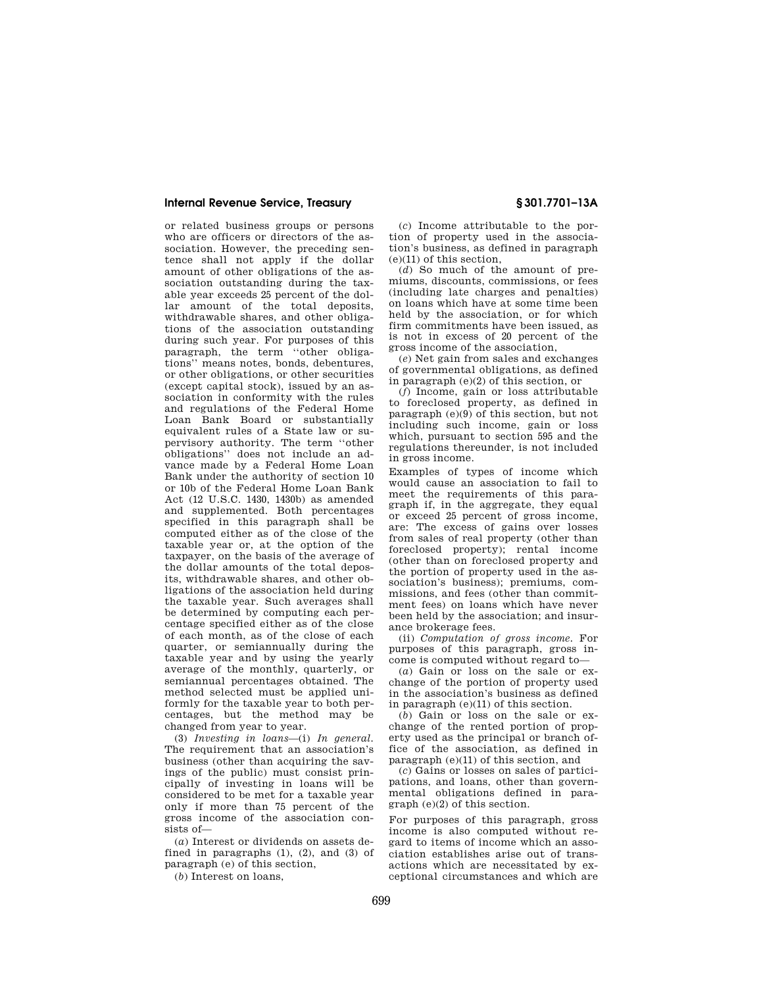#### **Internal Revenue Service, Treasury § 301.7701–13A**

or related business groups or persons who are officers or directors of the association. However, the preceding sentence shall not apply if the dollar amount of other obligations of the association outstanding during the taxable year exceeds 25 percent of the dollar amount of the total deposits, withdrawable shares, and other obligations of the association outstanding during such year. For purposes of this paragraph, the term ''other obligations'' means notes, bonds, debentures, or other obligations, or other securities (except capital stock), issued by an association in conformity with the rules and regulations of the Federal Home Loan Bank Board or substantially equivalent rules of a State law or supervisory authority. The term ''other obligations'' does not include an advance made by a Federal Home Loan Bank under the authority of section 10 or 10b of the Federal Home Loan Bank Act (12 U.S.C. 1430, 1430b) as amended and supplemented. Both percentages specified in this paragraph shall be computed either as of the close of the taxable year or, at the option of the taxpayer, on the basis of the average of the dollar amounts of the total deposits, withdrawable shares, and other obligations of the association held during the taxable year. Such averages shall be determined by computing each percentage specified either as of the close of each month, as of the close of each quarter, or semiannually during the taxable year and by using the yearly average of the monthly, quarterly, or semiannual percentages obtained. The method selected must be applied uniformly for the taxable year to both percentages, but the method may be changed from year to year.

(3) *Investing in loans*—(i) *In general.*  The requirement that an association's business (other than acquiring the savings of the public) must consist principally of investing in loans will be considered to be met for a taxable year only if more than 75 percent of the gross income of the association consists of—

(*a*) Interest or dividends on assets defined in paragraphs (1), (2), and (3) of paragraph (e) of this section,

(*b*) Interest on loans,

(*c*) Income attributable to the portion of property used in the association's business, as defined in paragraph (e)(11) of this section,

(*d*) So much of the amount of premiums, discounts, commissions, or fees (including late charges and penalties) on loans which have at some time been held by the association, or for which firm commitments have been issued, as is not in excess of 20 percent of the gross income of the association,

(*e*) Net gain from sales and exchanges of governmental obligations, as defined in paragraph (e)(2) of this section, or

(*f*) Income, gain or loss attributable to foreclosed property, as defined in paragraph (e)(9) of this section, but not including such income, gain or loss which, pursuant to section 595 and the regulations thereunder, is not included in gross income.

Examples of types of income which would cause an association to fail to meet the requirements of this paragraph if, in the aggregate, they equal or exceed 25 percent of gross income, are: The excess of gains over losses from sales of real property (other than foreclosed property); rental income (other than on foreclosed property and the portion of property used in the association's business); premiums, commissions, and fees (other than commitment fees) on loans which have never been held by the association; and insurance brokerage fees.

(ii) *Computation of gross income.* For purposes of this paragraph, gross income is computed without regard to—

(*a*) Gain or loss on the sale or exchange of the portion of property used in the association's business as defined in paragraph (e)(11) of this section.

(*b*) Gain or loss on the sale or exchange of the rented portion of property used as the principal or branch office of the association, as defined in paragraph (e)(11) of this section, and

(*c*) Gains or losses on sales of participations, and loans, other than governmental obligations defined in paragraph (e)(2) of this section.

For purposes of this paragraph, gross income is also computed without regard to items of income which an association establishes arise out of transactions which are necessitated by exceptional circumstances and which are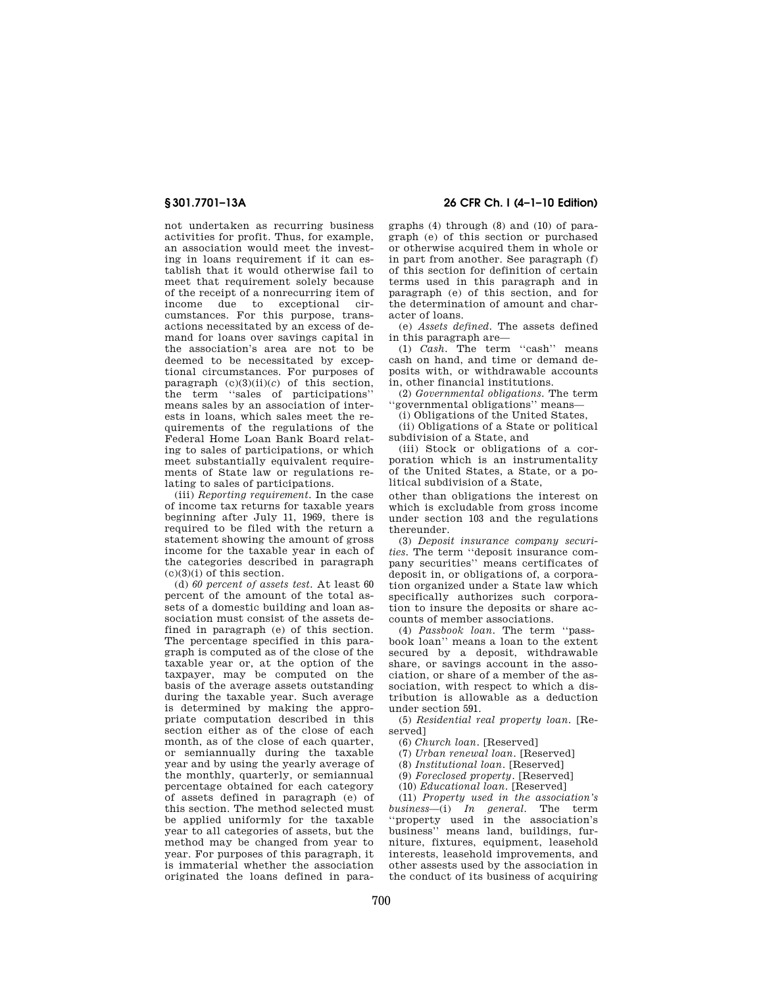not undertaken as recurring business activities for profit. Thus, for example, an association would meet the investing in loans requirement if it can establish that it would otherwise fail to meet that requirement solely because of the receipt of a nonrecurring item of income due to exceptional circumstances. For this purpose, transactions necessitated by an excess of demand for loans over savings capital in the association's area are not to be deemed to be necessitated by exceptional circumstances. For purposes of paragraph  $(c)(3)(ii)(c)$  of this section, the term ''sales of participations'' means sales by an association of interests in loans, which sales meet the requirements of the regulations of the Federal Home Loan Bank Board relating to sales of participations, or which meet substantially equivalent requirements of State law or regulations relating to sales of participations.

(iii) *Reporting requirement.* In the case of income tax returns for taxable years beginning after July 11, 1969, there is required to be filed with the return a statement showing the amount of gross income for the taxable year in each of the categories described in paragraph (c)(3)(i) of this section.

(d) *60 percent of assets test.* At least 60 percent of the amount of the total assets of a domestic building and loan association must consist of the assets defined in paragraph (e) of this section. The percentage specified in this paragraph is computed as of the close of the taxable year or, at the option of the taxpayer, may be computed on the basis of the average assets outstanding during the taxable year. Such average is determined by making the appropriate computation described in this section either as of the close of each month, as of the close of each quarter, or semiannually during the taxable year and by using the yearly average of the monthly, quarterly, or semiannual percentage obtained for each category of assets defined in paragraph (e) of this section. The method selected must be applied uniformly for the taxable year to all categories of assets, but the method may be changed from year to year. For purposes of this paragraph, it is immaterial whether the association originated the loans defined in para-

## **§ 301.7701–13A 26 CFR Ch. I (4–1–10 Edition)**

graphs (4) through (8) and (10) of paragraph (e) of this section or purchased or otherwise acquired them in whole or in part from another. See paragraph (f) of this section for definition of certain terms used in this paragraph and in paragraph (e) of this section, and for the determination of amount and character of loans.

(e) *Assets defined.* The assets defined in this paragraph are—

(1) *Cash.* The term ''cash'' means cash on hand, and time or demand deposits with, or withdrawable accounts in, other financial institutions.

(2) *Governmental obligations.* The term ''governmental obligations'' means—

(i) Obligations of the United States,

(ii) Obligations of a State or political subdivision of a State, and

(iii) Stock or obligations of a corporation which is an instrumentality of the United States, a State, or a political subdivision of a State,

other than obligations the interest on which is excludable from gross income under section 103 and the regulations thereunder.

(3) *Deposit insurance company securities.* The term ''deposit insurance company securities'' means certificates of deposit in, or obligations of, a corporation organized under a State law which specifically authorizes such corporation to insure the deposits or share accounts of member associations.

(4) *Passbook loan.* The term ''passbook loan'' means a loan to the extent secured by a deposit, withdrawable share, or savings account in the association, or share of a member of the association, with respect to which a distribution is allowable as a deduction under section 591.

(5) *Residential real property loan.* [Reserved]

(6) *Church loan.* [Reserved]

(7) *Urban renewal loan.* [Reserved]

(8) *Institutional loan.* [Reserved]

(9) *Foreclosed property.* [Reserved]

(10) *Educational loan.* [Reserved]

(11) *Property used in the association's business*—(i) *In general.* The term ''property used in the association's business'' means land, buildings, furniture, fixtures, equipment, leasehold interests, leasehold improvements, and other assests used by the association in the conduct of its business of acquiring